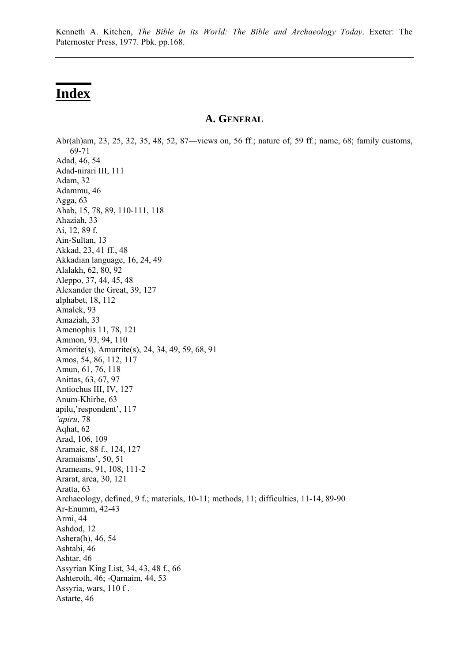## **Index**

**\_\_\_\_\_**

## **A. GENERAL**

Abr(ah)am, 23, 25, 32, 35, 48, 52, 87―views on, 56 ff.; nature of, 59 ff.; name, 68; family customs, 69-71 Adad, 46, 54 Adad-nirari III, 111 Adam, 32 Adammu, 46 Agga, 63 Ahab, 15, 78, 89, 110-111, 118 Ahaziah, 33 Ai, 12, 89 f. Ain-Sultan, 13 Akkad, 23, 41 ff., 48 Akkadian language, 16, 24, 49 Alalakh, 62, 80, 92 Aleppo, 37, 44, 45, 48 Alexander the Great, 39, 127 alphabet, 18, 112 Amalek, 93 Amaziah, 33 Amenophis 11, 78, 121 Ammon, 93, 94, 110 Amorite(s), Amurrite(s), 24, 34, 49, 59, 68, 91 Amos, 54, 86, 112, 117 Amun, 61, 76, 118 Anittas, 63, 67, 97 Antiochus III, IV, 127 Anum-Khirbe, 63 apilu,'respondent', 117 *'apiru*, 78 Aqhat, 62 Arad, 106, 109 Aramaic, 88 f., 124, 127 Aramaisms', 50, 51 Arameans, 91, 108, 111-2 Ararat, area, 30, 121 Aratta, 63 Archaeology, defined, 9 f.; materials, 10-11; methods, 11; difficulties, 11-14, 89-90 Ar-Enumm, 42-43 Armi, 44 Ashdod, 12 Ashera(h), 46, 54 Ashtabi, 46 Ashtar, 46 Assyrian King List, 34, 43, 48 f., 66 Ashteroth, 46; -Qarnaim, 44, 53 Assyria, wars, 110 f . Astarte, 46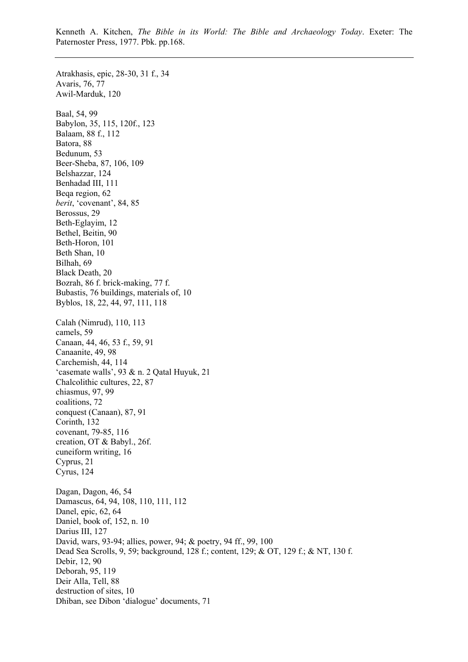Atrakhasis, epic, 28-30, 31 f., 34 Avaris, 76, 77 Awil-Marduk, 120 Baal, 54, 99 Babylon, 35, 115, 120f., 123 Balaam, 88 f., 112 Batora, 88 Bedunum, 53 Beer-Sheba, 87, 106, 109 Belshazzar, 124 Benhadad III, 111 Beqa region, 62 *berit*, 'covenant', 84, 85 Berossus, 29 Beth-Eglayim, 12 Bethel, Beitin, 90 Beth-Horon, 101 Beth Shan, 10 Bilhah, 69 Black Death, 20 Bozrah, 86 f. brick-making, 77 f. Bubastis, 76 buildings, materials of, 10 Byblos, 18, 22, 44, 97, 111, 118 Calah (Nimrud), 110, 113 camels, 59 Canaan, 44, 46, 53 f., 59, 91 Canaanite, 49, 98 Carchemish, 44, 114 'casemate walls', 93 & n. 2 Qatal Huyuk, 21 Chalcolithic cultures, 22, 87 chiasmus, 97, 99 coalitions, 72 conquest (Canaan), 87, 91 Corinth, 132 covenant, 79-85, 116 creation, OT & Babyl., 26f. cuneiform writing, 16 Cyprus, 21 Cyrus, 124 Dagan, Dagon, 46, 54 Damascus, 64, 94, 108, 110, 111, 112 Danel, epic, 62, 64 Daniel, book of, 152, n. 10 Darius III, 127 David, wars, 93-94; allies, power, 94; & poetry, 94 ff., 99, 100 Dead Sea Scrolls, 9, 59; background, 128 f.; content, 129; & OT, 129 f.; & NT, 130 f. Debir, 12, 90 Deborah, 95, 119 Deir Alla, Tell, 88 destruction of sites, 10 Dhiban, see Dibon 'dialogue' documents, 71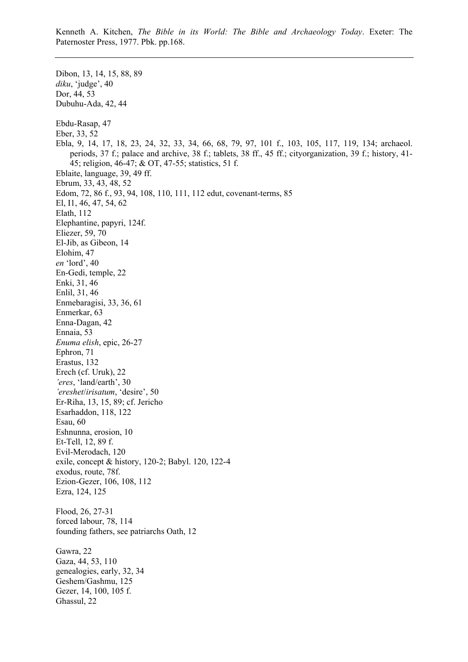Dibon, 13, 14, 15, 88, 89 *diku*, 'judge', 40 Dor, 44, 53 Dubuhu-Ada, 42, 44 Ebdu-Rasap, 47 Eber, 33, 52 Ebla, 9, 14, 17, 18, 23, 24, 32, 33, 34, 66, 68, 79, 97, 101 f., 103, 105, 117, 119, 134; archaeol. periods, 37 f.; palace and archive, 38 f.; tablets, 38 ff., 45 ff.; cityorganization, 39 f.; history, 41- 45; religion, 46-47; & OT, 47-55; statistics, 51 f. Eblaite, language, 39, 49 ff. Ebrum, 33, 43, 48, 52 Edom, 72, 86 f., 93, 94, 108, 110, 111, 112 edut, covenant-terms, 85 El, I1, 46, 47, 54, 62 Elath, 112 Elephantine, papyri, 124f. Eliezer, 59, 70 El-Jib, as Gibeon, 14 Elohim, 47 *en* 'lord', 40 En-Gedi, temple, 22 Enki, 31, 46 Enlil, 31, 46 Enmebaragisi, 33, 36, 61 Enmerkar, 63 Enna-Dagan, 42 Ennaia, 53 *Enuma elish*, epic, 26-27 Ephron, 71 Erastus, 132 Erech (cf. Uruk), 22 *'eres*, 'land/earth', 30 *'ereshet*/*irisatum*, 'desire', 50 Er-Riha, 13, 15, 89; cf. Jericho Esarhaddon, 118, 122 Esau, 60 Eshnunna, erosion, 10 Et-Tell, 12, 89 f. Evil-Merodach, 120 exile, concept & history, 120-2; Babyl. 120, 122-4 exodus, route, 78f. Ezion-Gezer, 106, 108, 112 Ezra, 124, 125 Flood, 26, 27-31 forced labour, 78, 114 founding fathers, see patriarchs Oath, 12 Gawra, 22 Gaza, 44, 53, 110 genealogies, early, 32, 34 Geshem/Gashmu, 125 Gezer, 14, 100, 105 f. Ghassul, 22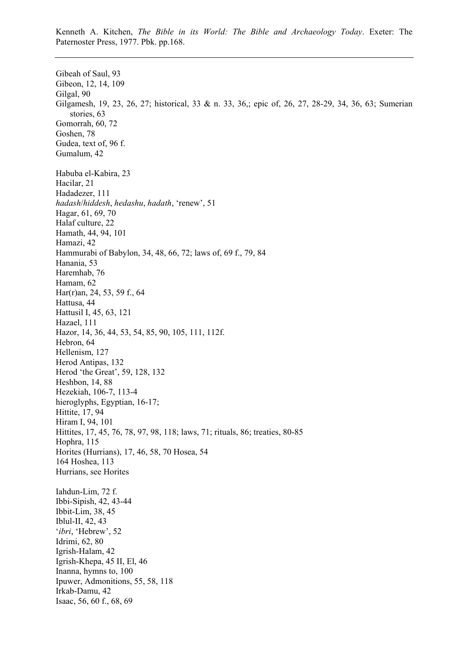Gibeah of Saul, 93 Gibeon, 12, 14, 109 Gilgal, 90 Gilgamesh, 19, 23, 26, 27; historical, 33 & n. 33, 36,; epic of, 26, 27, 28-29, 34, 36, 63; Sumerian stories, 63 Gomorrah, 60, 72 Goshen, 78 Gudea, text of, 96 f. Gumalum, 42 Habuba el-Kabira, 23 Hacilar, 21 Hadadezer, 111 *hadash*/*hiddesh*, *hedashu*, *hadath*, 'renew', 51 Hagar, 61, 69, 70 Halaf culture, 22 Hamath, 44, 94, 101 Hamazi, 42 Hammurabi of Babylon, 34, 48, 66, 72; laws of, 69 f., 79, 84 Hanania, 53 Haremhab, 76 Hamam, 62 Har(r)an, 24, 53, 59 f., 64 Hattusa, 44 Hattusil I, 45, 63, 121 Hazael, 111 Hazor, 14, 36, 44, 53, 54, 85, 90, 105, 111, 112f. Hebron, 64 Hellenism, 127 Herod Antipas, 132 Herod 'the Great', 59, 128, 132 Heshbon, 14, 88 Hezekiah, 106-7, 113-4 hieroglyphs, Egyptian, 16-17; Hittite, 17, 94 Hiram I, 94, 101 Hittites, 17, 45, 76, 78, 97, 98, 118; laws, 71; rituals, 86; treaties, 80-85 Hophra, 115 Horites (Hurrians), 17, 46, 58, 70 Hosea, 54 164 Hoshea, 113 Hurrians, see Horites Iahdun-Lim, 72 f. Ibbi-Sipish, 42, 43-44 Ibbit-Lim, 38, 45 Iblul-II, 42, 43 '*ibri*, 'Hebrew', 52 Idrimi, 62, 80 Igrish-Halam, 42 Igrish-Khepa, 45 II, El, 46 Inanna, hymns to, 100 Ipuwer, Admonitions, 55, 58, 118 Irkab-Damu, 42 Isaac, 56, 60 f., 68, 69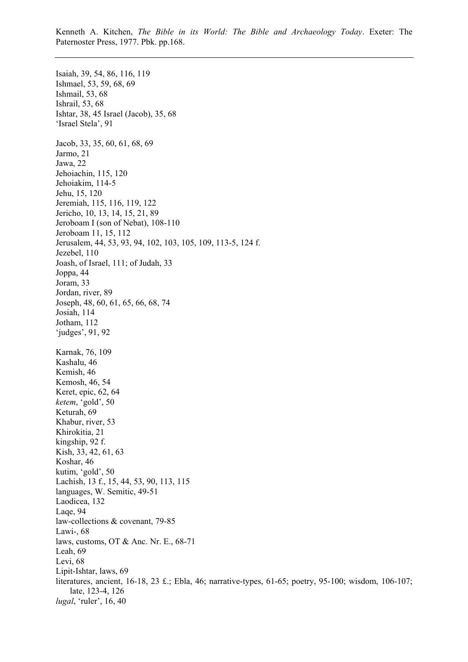Isaiah, 39, 54, 86, 116, 119 Ishmael, 53, 59, 68, 69 Ishmail, 53, 68 Ishrail, 53, 68 Ishtar, 38, 45 Israel (Jacob), 35, 68 'Israel Stela', 91 Jacob, 33, 35, 60, 61, 68, 69 Jarmo, 21 Jawa, 22 Jehoiachin, 115, 120 Jehoiakim, 114-5 Jehu, 15, 120 Jeremiah, 115, 116, 119, 122 Jericho, 10, 13, 14, 15, 21, 89 Jeroboam I (son of Nebat), 108-110 Jeroboam 11, 15, 112 Jerusalem, 44, 53, 93, 94, 102, 103, 105, 109, 113-5, 124 f. Jezebel, 110 Joash, of Israel, 111; of Judah, 33 Joppa, 44 Joram, 33 Jordan, river, 89 Joseph, 48, 60, 61, 65, 66, 68, 74 Josiah, 114 Jotham, 112 'judges', 91, 92 Karnak, 76, 109 Kashalu, 46 Kemish, 46 Kemosh, 46, 54 Keret, epic, 62, 64 *ketem*, 'gold', 50 Keturah, 69 Khabur, river, 53 Khirokitia, 21 kingship, 92 f. Kish, 33, 42, 61, 63 Koshar, 46 kutim, 'gold', 50 Lachish, 13 f., 15, 44, 53, 90, 113, 115 languages, W. Semitic, 49-51 Laodicea, 132 Laqe, 94 law-collections & covenant, 79-85 Lawi-, 68 laws, customs, OT & Anc. Nr. E., 68-71 Leah, 69 Levi, 68 Lipit-Ishtar, laws, 69 literatures, ancient, 16-18, 23 £.; Ebla, 46; narrative-types, 61-65; poetry, 95-100; wisdom, 106-107; late, 123-4, 126 *lugal*, 'ruler', 16, 40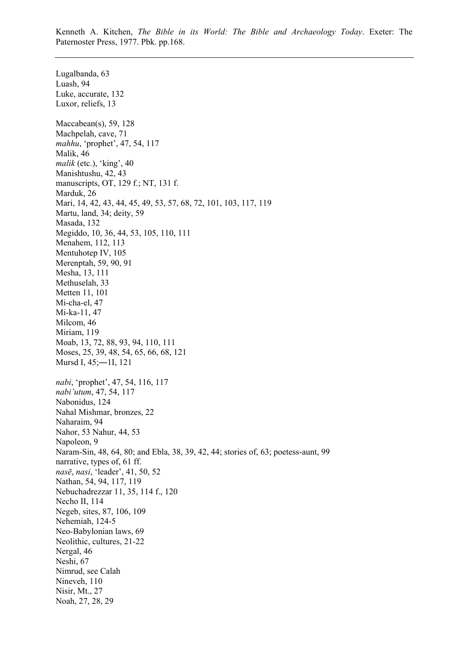Lugalbanda, 63 Luash, 94 Luke, accurate, 132 Luxor, reliefs, 13 Maccabean(s), 59, 128 Machpelah, cave, 71 *mahhu*, 'prophet', 47, 54, 117 Malik, 46 *malik* (etc.), 'king', 40 Manishtushu, 42, 43 manuscripts, OT, 129 f.; NT, 131 f. Marduk, 26 Mari, 14, 42, 43, 44, 45, 49, 53, 57, 68, 72, 101, 103, 117, 119 Martu, land, 34; deity, 59 Masada, 132 Megiddo, 10, 36, 44, 53, 105, 110, 111 Menahem, 112, 113 Mentuhotep IV, 105 Merenptah, 59, 90, 91 Mesha, 13, 111 Methuselah, 33 Metten 11, 101 Mi-cha-el, 47 Mi-ka-11, 47 Milcom, 46 Miriam, 119 Moab, 13, 72, 88, 93, 94, 110, 111 Moses, 25, 39, 48, 54, 65, 66, 68, 121 Mursd I, 45;―1I, 121 *nabi*, 'prophet', 47, 54, 116, 117 *nabi'utum*, 47, 54, 117 Nabonidus, 124 Nahal Mishmar, bronzes, 22 Naharaim, 94 Nahor, 53 Nahur, 44, 53 Napoleon, 9 Naram-Sin, 48, 64, 80; and Ebla, 38, 39, 42, 44; stories of, 63; poetess-aunt, 99 narrative, types of, 61 ff. *nasē*, *nasi*, 'leader', 41, 50, 52 Nathan, 54, 94, 117, 119 Nebuchadrezzar 11, 35, 114 f., 120 Necho II, 114 Negeb, sites, 87, 106, 109 Nehemiah, 124-5 Neo-Babylonian laws, 69 Neolithic, cultures, 21-22 Nergal, 46 Neshi, 67 Nimrud, see Calah Nineveh, 110 Nisir, Mt., 27 Noah, 27, 28, 29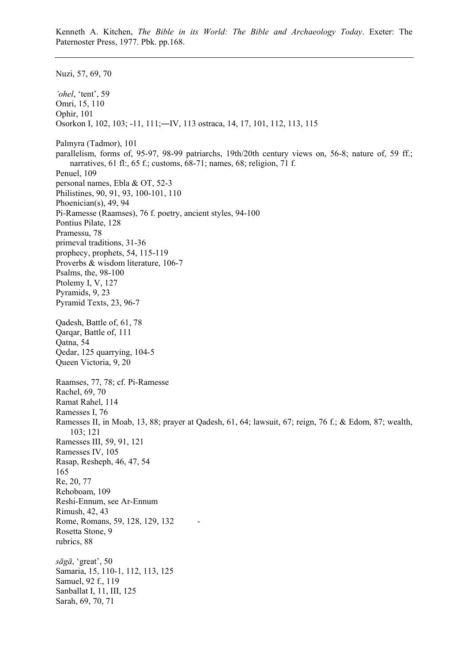Nuzi, 57, 69, 70 *'ohel*, 'tent', 59 Omri, 15, 110 Ophir, 101 Osorkon I, 102, 103; -11, 111;―IV, 113 ostraca, 14, 17, 101, 112, 113, 115 Palmyra (Tadmor), 101 parallelism, forms of, 95-97, 98-99 patriarchs, 19th/20th century views on, 56-8; nature of, 59 ff.; narratives, 61 fl:, 65 f.; customs, 68-71; names, 68; religion, 71 f. Penuel, 109 personal names, Ebla & OT, 52-3 Philistines, 90, 91, 93, 100-101, 110 Phoenician(s), 49, 94 Pi-Ramesse (Raamses), 76 f. poetry, ancient styles, 94-100 Pontius Pilate, 128 Pramessu, 78 primeval traditions, 31-36 prophecy, prophets, 54, 115-119 Proverbs & wisdom literature, 106-7 Psalms, the, 98-100 Ptolemy I, V, 127 Pyramids, 9, 23 Pyramid Texts, 23, 96-7 Qadesh, Battle of, 61, 78 Qarqar, Battle of, 111 Qatna, 54 Qedar, 125 quarrying, 104-5 Queen Victoria, 9, 20 Raamses, 77, 78; cf. Pi-Ramesse Rachel, 69, 70 Ramat Rahel, 114 Ramesses I, 76 Ramesses II, in Moab, 13, 88; prayer at Qadesh, 61, 64; lawsuit, 67; reign, 76 f.; & Edom, 87; wealth, 103; 121 Ramesses III, 59, 91, 121 Ramesses IV, 105 Rasap, Resheph, 46, 47, 54 165 Re, 20, 77 Rehoboam, 109 Reshi-Ennum, see Ar-Ennum Rimush, 42, 43 Rome, Romans, 59, 128, 129, 132 Rosetta Stone, 9 rubrics, 88 *sāgā*, 'great', 50 Samaria, 15, 110-1, 112, 113, 125 Samuel, 92 f., 119 Sanballat I, 11, III, 125 Sarah, 69, 70, 71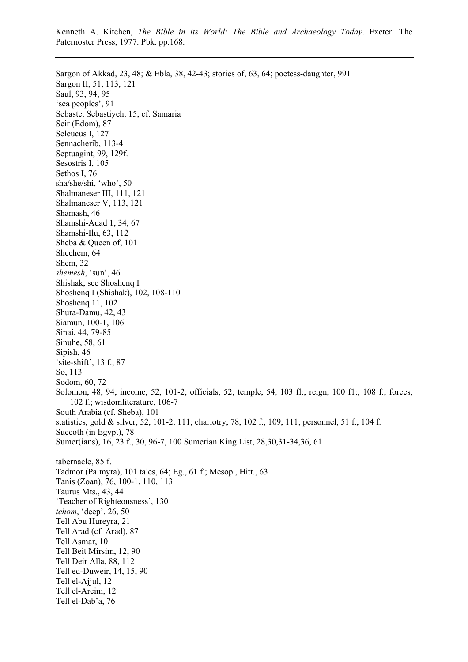Sargon of Akkad, 23, 48; & Ebla, 38, 42-43; stories of, 63, 64; poetess-daughter, 991 Sargon II, 51, 113, 121 Saul, 93, 94, 95 'sea peoples', 91 Sebaste, Sebastiyeh, 15; cf. Samaria Seir (Edom), 87 Seleucus I, 127 Sennacherib, 113-4 Septuagint, 99, 129f. Sesostris I, 105 Sethos I, 76 sha/she/shi, 'who', 50 Shalmaneser III, 111, 121 Shalmaneser V, 113, 121 Shamash, 46 Shamshi-Adad 1, 34, 67 Shamshi-Ilu, 63, 112 Sheba & Queen of, 101 Shechem, 64 Shem, 32 *shemesh*, 'sun', 46 Shishak, see Shoshenq I Shoshenq I (Shishak), 102, 108-110 Shoshenq 11, 102 Shura-Damu, 42, 43 Siamun, 100-1, 106 Sinai, 44, 79-85 Sinuhe, 58, 61 Sipish, 46 'site-shift', 13 f., 87 So, 113 Sodom, 60, 72 Solomon, 48, 94; income, 52, 101-2; officials, 52; temple, 54, 103 fl:; reign, 100 f1:, 108 f.; forces, 102 f.; wisdomliterature, 106-7 South Arabia (cf. Sheba), 101 statistics, gold & silver, 52, 101-2, 111; chariotry, 78, 102 f., 109, 111; personnel, 51 f., 104 f. Succoth (in Egypt), 78 Sumer(ians), 16, 23 f., 30, 96-7, 100 Sumerian King List, 28,30,31-34,36, 61 tabernacle, 85 f. Tadmor (Palmyra), 101 tales, 64; Eg., 61 f.; Mesop., Hitt., 63 Tanis (Zoan), 76, 100-1, 110, 113 Taurus Mts., 43, 44 'Teacher of Righteousness', 130 *tehom*, 'deep', 26, 50 Tell Abu Hureyra, 21 Tell Arad (cf. Arad), 87 Tell Asmar, 10 Tell Beit Mirsim, 12, 90 Tell Deir Alla, 88, 112 Tell ed-Duweir, 14, 15, 90 Tell el-Ajjul, 12 Tell el-Areini, 12 Tell el-Dab'a, 76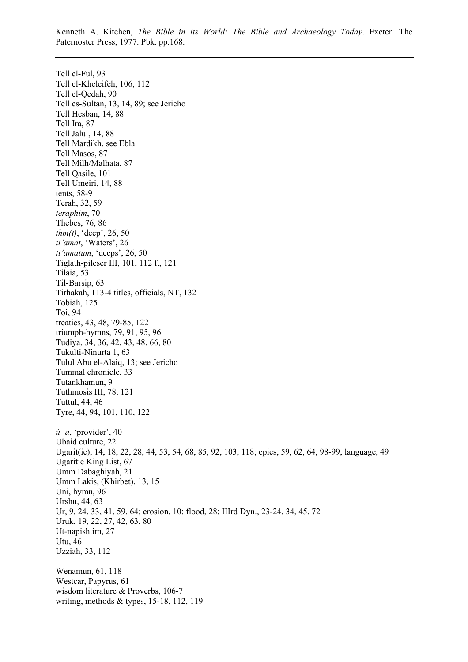Tell el-Ful, 93 Tell el-Kheleifeh, 106, 112 Tell el-Qedah, 90 Tell es-Sultan, 13, 14, 89; see Jericho Tell Hesban, 14, 88 Tell Ira, 87 Tell Jalul, 14, 88 Tell Mardikh, see Ebla Tell Masos, 87 Tell Milh/Malhata, 87 Tell Qasile, 101 Tell Umeiri, 14, 88 tents, 58-9 Terah, 32, 59 *teraphim*, 70 Thebes, 76, 86 *thm(t)*, 'deep', 26, 50 *ti'amat*, 'Waters', 26 *ti'amatum*, 'deeps', 26, 50 Tiglath-pileser III, 101, 112 f., 121 Tilaia, 53 Til-Barsip, 63 Tirhakah, 113-4 titles, officials, NT, 132 Tobiah, 125 Toi, 94 treaties, 43, 48, 79-85, 122 triumph-hymns, 79, 91, 95, 96 Tudiya, 34, 36, 42, 43, 48, 66, 80 Tukulti-Ninurta 1, 63 Tulul Abu el-Alaiq, 13; see Jericho Tummal chronicle, 33 Tutankhamun, 9 Tuthmosis III, 78, 121 Tuttul, 44, 46 Tyre, 44, 94, 101, 110, 122 *ú -a*, 'provider', 40 Ubaid culture, 22 Ugarit(ic), 14, 18, 22, 28, 44, 53, 54, 68, 85, 92, 103, 118; epics, 59, 62, 64, 98-99; language, 49 Ugaritic King List, 67 Umm Dabaghiyah, 21 Umm Lakis, (Khirbet), 13, 15 Uni, hymn, 96 Urshu, 44, 63 Ur, 9, 24, 33, 41, 59, 64; erosion, 10; flood, 28; IIIrd Dyn., 23-24, 34, 45, 72 Uruk, 19, 22, 27, 42, 63, 80 Ut-napishtim, 27 Utu, 46 Uzziah, 33, 112 Wenamun, 61, 118 Westcar, Papyrus, 61 wisdom literature & Proverbs, 106-7 writing, methods & types, 15-18, 112, 119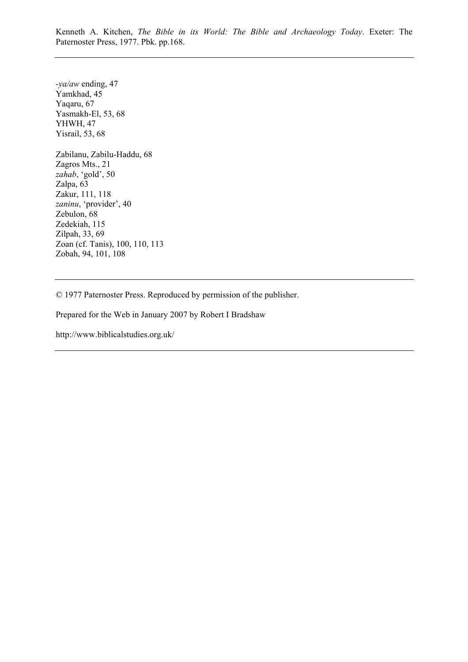*-ya/aw* ending, 47 Yamkhad, 45 Yaqaru, 67 Yasmakh-El, 53, 68 YHWH, 47 Yisrail, 53, 68 Zabilanu, Zabilu-Haddu, 68 Zagros Mts., 21 *zahab*, 'gold', 50 Zalpa, 63 Zakur, 111, 118 *zaninu*, 'provider', 40 Zebulon, 68 Zedekiah, 115 Zilpah, 33, 69 Zoan (cf. Tanis), 100, 110, 113 Zobah, 94, 101, 108

© 1977 Paternoster Press. Reproduced by permission of the publisher.

Prepared for the Web in January 2007 by Robert I Bradshaw

[http://www.biblicalstudies.org.uk/](http://www.biblicalstudies.org.uk)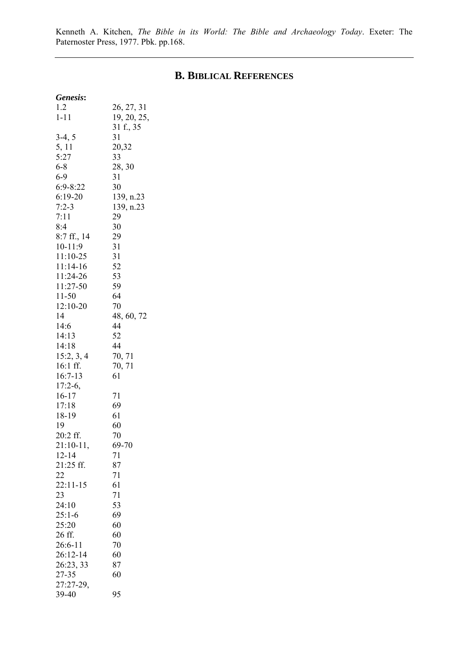## **B. BIBLICAL REFERENCES**

| Genesis:     |             |
|--------------|-------------|
| 1.2          | 26, 27, 31  |
| $1 - 11$     | 19, 20, 25, |
|              | 31 f., 35   |
| $3-4, 5$     | 31          |
| 5, 11        |             |
|              | 20,32       |
| 5:27         | 33          |
| $6 - 8$      | 28, 30      |
| $6 - 9$      | 31          |
| $6:9 - 8:22$ | 30          |
| $6:19-20$    | 139, n.23   |
| $7:2-3$      | 139, n.23   |
| 7:11         | 29          |
| 8:4          | 30          |
| 8:7 ff., 14  | 29          |
|              |             |
| 10-11:9      | 31          |
| 11:10-25     | 31          |
| 11:14-16     | 52          |
| 11:24-26     | 53          |
| 11:27-50     | 59          |
| 11-50        | 64          |
| 12:10-20     | 70          |
| 14           | 48, 60, 72  |
| 14:6         | 44          |
|              |             |
| 14:13        | 52          |
| 14:18        | 44          |
| 15:2, 3, 4   | 70, 71      |
| 16:1 ff.     | 70, 71      |
| $16:7-13$    | 61          |
| $17:2-6$ ,   |             |
| 16-17        | 71          |
| 17:18        | 69          |
|              |             |
| 18-19        | 61          |
| 19           | 60          |
| 20:2 ff.     | 70          |
| $21:10-11,$  | 69-70       |
| $12 - 14$    | 71          |
| 21:25 ff.    | 87          |
| 22           | 71          |
| $22:11-15$   | 61          |
| 23           | 71          |
|              | 53          |
| 24:10        |             |
| $25:1-6$     | 69          |
| 25:20        | 60          |
| 26 ff.       | 60          |
| $26:6-11$    | 70          |
| 26:12-14     | 60          |
| 26:23, 33    | 87          |
| 27-35        | 60          |
| 27:27-29,    |             |
|              |             |
| 39-40        | 95          |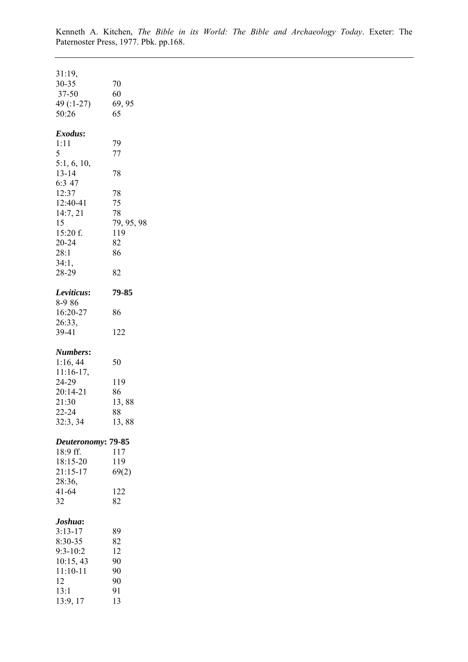| 31:19,<br>30-35<br>37-50<br>49 (:1-27)<br>50:26                                                                                               | 70<br>60<br>69, 95<br>65                                          |
|-----------------------------------------------------------------------------------------------------------------------------------------------|-------------------------------------------------------------------|
| Exodus:<br>1:11<br>5<br>5:1, 6, 10,<br>$13 - 14$<br>6:3 47<br>12:37<br>12:40-41<br>14:7, 21<br>15<br>$15:20$ f.<br>$20 - 24$<br>28:1<br>34:1, | 79<br>77<br>78<br>78<br>75<br>78<br>79, 95, 98<br>119<br>82<br>86 |
| 28-29<br>Leviticus:<br>8-986<br>16:20-27<br>26:33,<br>39-41                                                                                   | 82<br>79-85<br>86<br>122                                          |
| Numbers:<br>1:16, 44<br>$11:16-17$ ,<br>24-29<br>20:14-21<br>21:30<br>22-24<br>32:3, 34                                                       | 50<br>119<br>86<br>13,88<br>88<br>13,88                           |
| Deuteronomy: 79-85<br>18:9 ff.<br>18:15-20<br>21:15-17<br>28:36,<br>$41 - 64$<br>32                                                           | 117<br>119<br>69(2)<br>122<br>82                                  |
| Joshua:<br>$3:13-17$<br>8:30-35<br>$9:3 - 10:2$<br>10:15, 43<br>$11:10 - 11$<br>12<br>13:1<br>13:9, 17                                        | 89<br>82<br>12<br>90<br>90<br>90<br>91<br>13                      |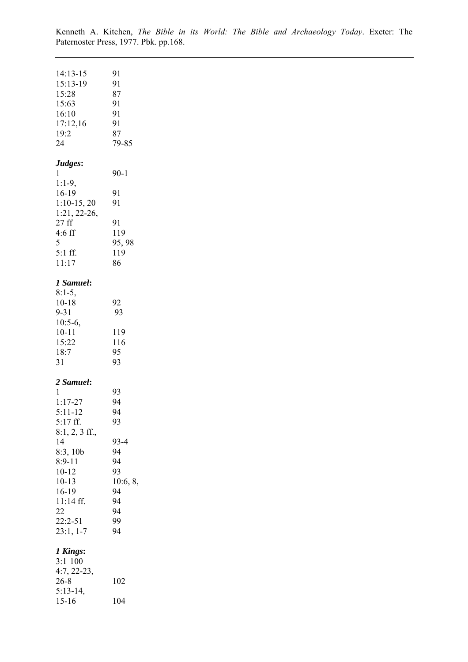| 14:13-15<br>15:13-19<br>15:28<br>15:63<br>16:10<br>17:12,16<br>19:2<br>24                                                                                                                     | 91<br>91<br>87<br>91<br>91<br>91<br>87<br>79-85                                          |
|-----------------------------------------------------------------------------------------------------------------------------------------------------------------------------------------------|------------------------------------------------------------------------------------------|
| Judges:<br>1<br>$1:1-9,$<br>16-19<br>$1:10-15, 20$<br>1:21, 22-26,<br>27ff<br>$4:6$ ff<br>5<br>$5:1$ ff.<br>11:17                                                                             | $90 - 1$<br>91<br>91<br>91<br>119<br>95, 98<br>119<br>86                                 |
| 1 Samuel:<br>$8:1-5,$<br>$10 - 18$<br>$9 - 31$<br>$10:5-6,$<br>$10 - 11$<br>15:22<br>18:7<br>31                                                                                               | 92<br>93<br>119<br>116<br>95<br>93                                                       |
| 2 Samuel:<br>1<br>$1:17 - 27$<br>$5:11 - 12$<br>5:17 ff.<br>$8:1, 2, 3$ ff.,<br>14<br>8:3,10b<br>$8:9-11$<br>$10 - 12$<br>$10 - 13$<br>16-19<br>11:14 ff.<br>22<br>$22:2 - 51$<br>$23:1, 1-7$ | 93<br>94<br>94<br>93<br>93-4<br>94<br>94<br>93<br>10:6, 8,<br>94<br>94<br>94<br>99<br>94 |
| 1 Kings:<br>3:1 100<br>$4:7, 22-23,$<br>$26 - 8$<br>$5:13-14,$<br>$15-16$                                                                                                                     | 102<br>104                                                                               |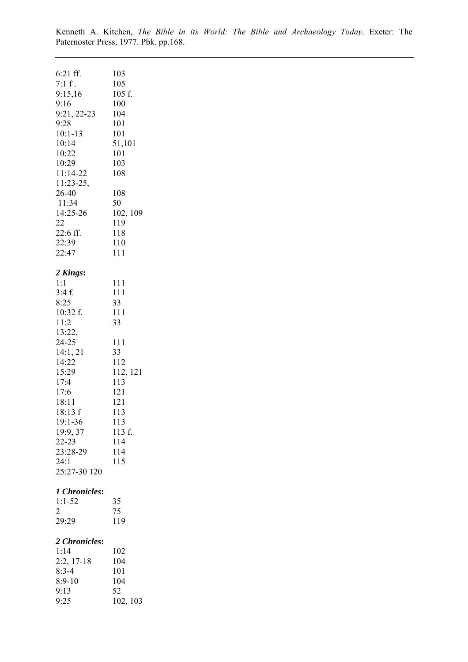| 6:21 ff.<br>7:1 f.<br>9:15,16<br>9:16<br>9:21, 22-23<br>9:28<br>$10:1 - 13$<br>10:14<br>10:22<br>10:29<br>11:14-22<br>11:23-25,<br>26-40<br>11:34<br>14:25-26<br>22<br>22:6 ff.<br>22:39<br>22:47                 | 103<br>105<br>105 f.<br>100<br>104<br>101<br>101<br>51,101<br>101<br>103<br>108<br>108<br>50<br>102, 109<br>119<br>118<br>110<br>111 |
|-------------------------------------------------------------------------------------------------------------------------------------------------------------------------------------------------------------------|--------------------------------------------------------------------------------------------------------------------------------------|
| 2 Kings:<br>1:1<br>3:4f.<br>8:25<br>10:32 f.<br>11:2<br>13:22,<br>$24 - 25$<br>14:1, 21<br>14:22<br>15:29<br>17:4<br>17:6<br>18:11<br>18:13 f<br>19:1-36<br>19:9, 37<br>22-23<br>23:28-29<br>24:1<br>25:27-30 120 | 111<br>111<br>33<br>111<br>33<br>111<br>33<br>112<br>112, 121<br>113<br>121<br>121<br>113<br>113<br>113 f.<br>114<br>114<br>115      |
| 1 Chronicles:<br>$1:1 - 52$<br>$\overline{2}$<br>29:29                                                                                                                                                            | 35<br>75<br>119                                                                                                                      |
| 2 Chronicles:<br>1:14<br>$2:2, 17-18$<br>$8:3-4$<br>$8:9-10$<br>9:13<br>9:25                                                                                                                                      | 102<br>104<br>101<br>104<br>52<br>102, 103                                                                                           |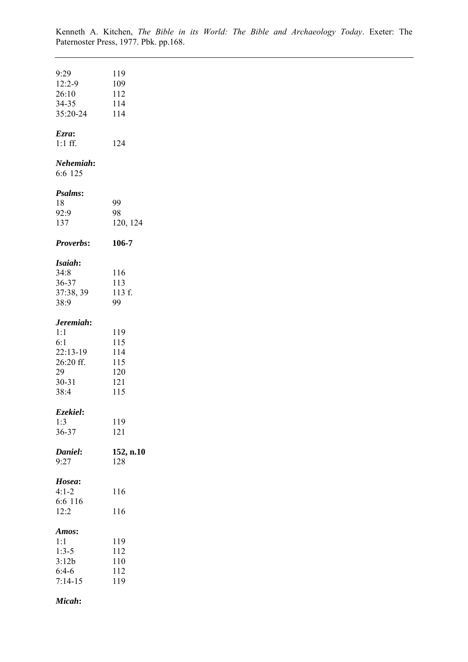| 9:29              | 119        |  |  |
|-------------------|------------|--|--|
| $12:2-9$          | 109        |  |  |
| 26:10             | 112        |  |  |
| 34-35<br>35:20-24 | 114<br>114 |  |  |
|                   |            |  |  |
| Ezra:             |            |  |  |
| $1:1$ ff.         | 124        |  |  |
|                   |            |  |  |
| Nehemiah:         |            |  |  |
| 6:6 125           |            |  |  |
|                   |            |  |  |
| Psalms:           |            |  |  |
| 18                | 99         |  |  |
| 92:9              | 98         |  |  |
| 137               | 120, 124   |  |  |
| <b>Proverbs:</b>  | 106-7      |  |  |
|                   |            |  |  |
| Isaiah:           |            |  |  |
| 34:8              | 116        |  |  |
| 36-37             | 113        |  |  |
| 37:38, 39         | 113 f.     |  |  |
| 38:9              | 99         |  |  |
|                   |            |  |  |
| Jeremiah:         |            |  |  |
| 1:1               | 119        |  |  |
| 6:1<br>22:13-19   | 115<br>114 |  |  |
| 26:20 ff.         | 115        |  |  |
| 29                | 120        |  |  |
| $30 - 31$         | 121        |  |  |
| 38:4              | 115        |  |  |
|                   |            |  |  |
| Ezekiel:          |            |  |  |
| 1:3               | 119        |  |  |
| 36-37             | 121        |  |  |
|                   |            |  |  |
| Daniel:           | 152, n.10  |  |  |
| 9:27              | 128        |  |  |
| Hosea:            |            |  |  |
| $4:1 - 2$         | 116        |  |  |
| 6:6 116           |            |  |  |
| 12:2              | 116        |  |  |
|                   |            |  |  |
| Amos:             |            |  |  |
| 1:1               | 119        |  |  |
| $1:3-5$           | 112        |  |  |
| 3:12b             | 110        |  |  |
| $6:4-6$           | 112        |  |  |
| $7:14-15$         | 119        |  |  |
| Micah:            |            |  |  |
|                   |            |  |  |